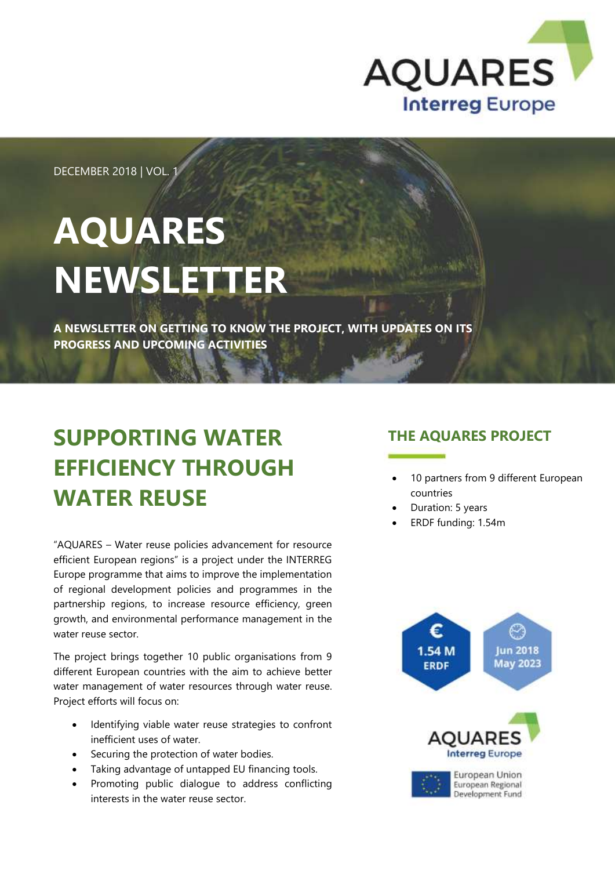

DECEMBER 2018 | VOL.

## **AQUARES NEWSLETTER**

**A NEWSLETTER ON GETTING TO KNOW THE PROJECT, WITH UPDATES ON ITS PROGRESS AND UPCOMING ACTIVITIES**

## **SUPPORTING WATER EFFICIENCY THROUGH WATER REUSE**

"AQUARES – Water reuse policies advancement for resource efficient European regions" is a project under the INTERREG Europe programme that aims to improve the implementation of regional development policies and programmes in the partnership regions, to increase resource efficiency, green growth, and environmental performance management in the water reuse sector.

The project brings together 10 public organisations from 9 different European countries with the aim to achieve better water management of water resources through water reuse. Project efforts will focus on:

- Identifying viable water reuse strategies to confront inefficient uses of water.
- Securing the protection of water bodies.
- Taking advantage of untapped EU financing tools.
- Promoting public dialogue to address conflicting interests in the water reuse sector.

#### **THE AQUARES PROJECT**

- 10 partners from 9 different European countries
- Duration: 5 years
- ERDF funding: 1.54m

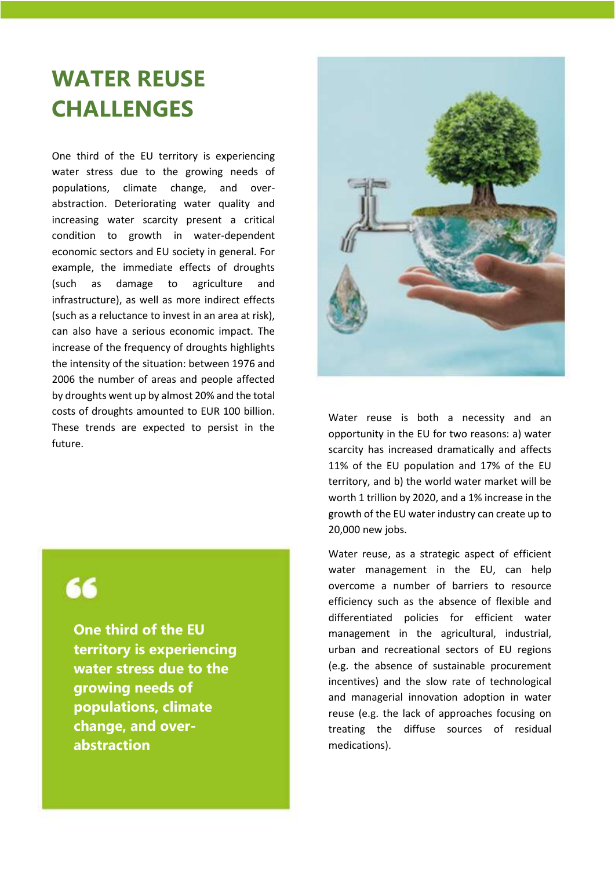## **WATER REUSE CHALLENGES**

One third of the EU territory is experiencing water stress due to the growing needs of populations, climate change, and overabstraction. Deteriorating water quality and increasing water scarcity present a critical condition to growth in water-dependent economic sectors and EU society in general. For example, the immediate effects of droughts (such as damage to agriculture and infrastructure), as well as more indirect effects (such as a reluctance to invest in an area at risk), can also have a serious economic impact. The increase of the frequency of droughts highlights the intensity of the situation: between 1976 and 2006 the number of areas and people affected by droughts went up by almost 20% and the total costs of droughts amounted to EUR 100 billion. These trends are expected to persist in the future.



**One third of the EU territory is experiencing water stress due to the growing needs of populations, climate change, and overabstraction**



Water reuse is both a necessity and an opportunity in the EU for two reasons: a) water scarcity has increased dramatically and affects 11% of the EU population and 17% of the EU territory, and b) the world water market will be worth 1 trillion by 2020, and a 1% increase in the growth of the EU water industry can create up to 20,000 new jobs.

Water reuse, as a strategic aspect of efficient water management in the EU, can help overcome a number of barriers to resource efficiency such as the absence of flexible and differentiated policies for efficient water management in the agricultural, industrial, urban and recreational sectors of EU regions (e.g. the absence of sustainable procurement incentives) and the slow rate of technological and managerial innovation adoption in water reuse (e.g. the lack of approaches focusing on treating the diffuse sources of residual medications).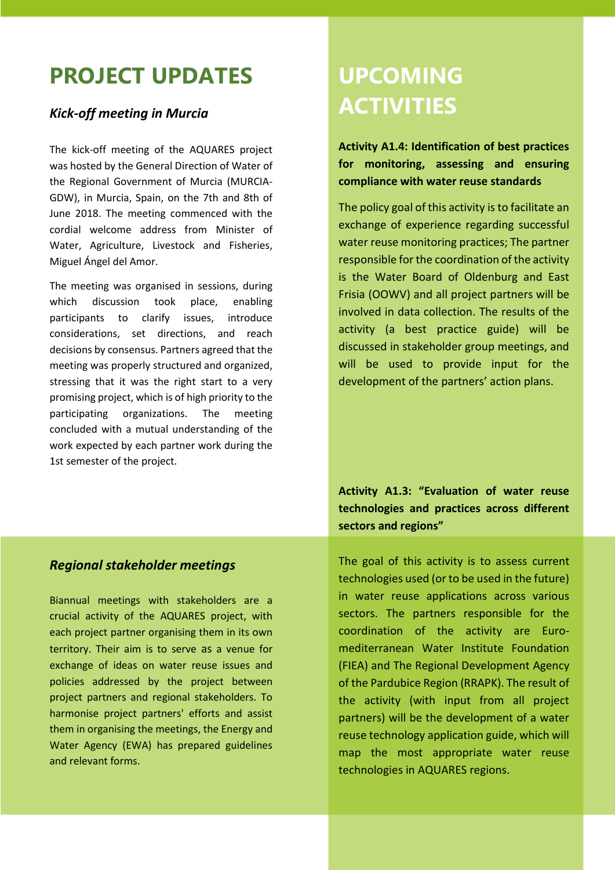### **PROJECT UPDATES**

#### *Kick-off meeting in Murcia*

The kick-off meeting of the AQUARES project was hosted by the General Direction of Water of the Regional Government of Murcia (MURCIA-GDW), in Murcia, Spain, on the 7th and 8th of June 2018. The meeting commenced with the cordial welcome address from Minister of Water, Agriculture, Livestock and Fisheries, Miguel Ángel del Amor.

The meeting was organised in sessions, during which discussion took place, enabling participants to clarify issues, introduce considerations, set directions, and reach decisions by consensus. Partners agreed that the meeting was properly structured and organized, stressing that it was the right start to a very promising project, which is of high priority to the participating organizations. The meeting concluded with a mutual understanding of the work expected by each partner work during the 1st semester of the project.

## **UPCOMING ACTIVITIES**

**Activity A1.4: Identification of best practices for monitoring, assessing and ensuring compliance with water reuse standards**

The policy goal of this activity is to facilitate an exchange of experience regarding successful water reuse monitoring practices; The partner responsible for the coordination of the activity is the Water Board of Oldenburg and East Frisia (OOWV) and all project partners will be involved in data collection. The results of the activity (a best practice guide) will be discussed in stakeholder group meetings, and will be used to provide input for the development of the partners' action plans.

**Activity A1.3: "Evaluation of water reuse technologies and practices across different sectors and regions"** 

#### *Regional stakeholder meetings*

Biannual meetings with stakeholders are a crucial activity of the AQUARES project, with each project partner organising them in its own territory. Their aim is to serve as a venue for exchange of ideas on water reuse issues and policies addressed by the project between project partners and regional stakeholders. To harmonise project partners' efforts and assist them in organising the meetings, the Energy and Water Agency (EWA) has prepared guidelines and relevant forms.

The goal of this activity is to assess current technologies used (or to be used in the future) in water reuse applications across various sectors. The partners responsible for the coordination of the activity are Euromediterranean Water Institute Foundation (FIEA) and The Regional Development Agency of the Pardubice Region (RRAPK). The result of the activity (with input from all project partners) will be the development of a water reuse technology application guide, which will map the most appropriate water reuse technologies in AQUARES regions.